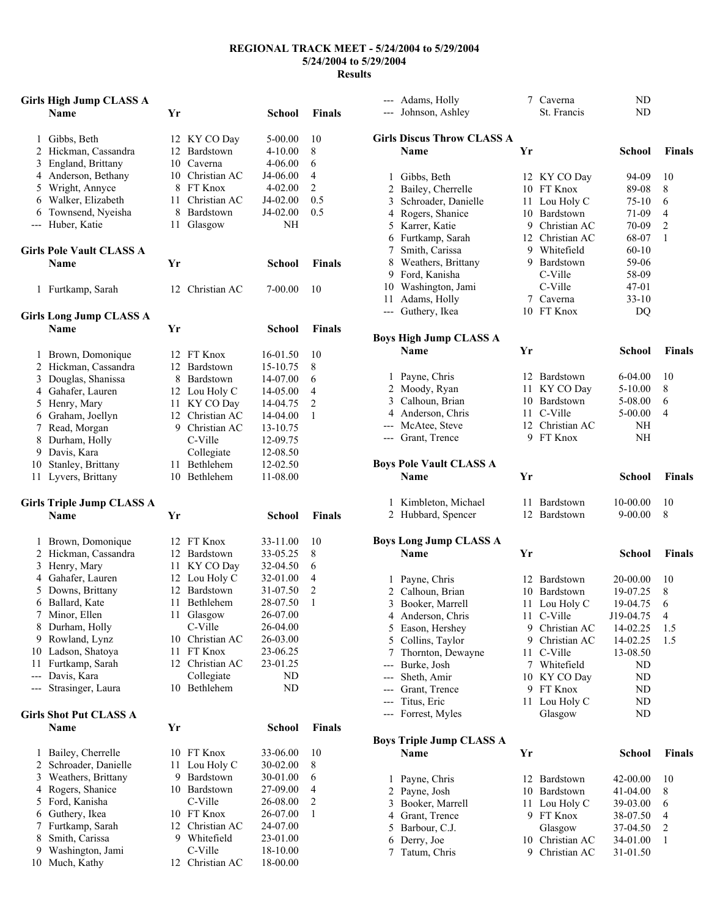## **REGIONAL TRACK MEET - 5/24/2004 to 5/29/2004 5/24/2004 to 5/29/2004 Results**

|                | <b>Girls High Jump CLASS A</b>   |    |                         |             |                |
|----------------|----------------------------------|----|-------------------------|-------------|----------------|
|                | <b>Name</b>                      | Yr |                         | School      | <b>Finals</b>  |
| 1              | Gibbs, Beth                      |    | 12 KY CO Day            | 5-00.00     | 10             |
| 2              | Hickman, Cassandra               |    | 12 Bardstown            | $4 - 10.00$ | 8              |
| 3              | England, Brittany                |    | 10 Caverna              | 4-06.00     | 6              |
| 4              | Anderson, Bethany                |    | 10 Christian AC         | J4-06.00    | 4              |
|                | 5 Wright, Annyce                 |    | 8 FT Knox               | 4-02.00     | $\overline{c}$ |
|                | 6 Walker, Elizabeth              |    | 11 Christian AC         | J4-02.00    | 0.5            |
|                | 6 Townsend, Nyeisha              |    | 8 Bardstown             | J4-02.00    | 0.5            |
| $---$          | Huber, Katie                     | 11 | Glasgow                 | NΗ          |                |
|                | <b>Girls Pole Vault CLASS A</b>  |    |                         |             |                |
|                | <b>Name</b>                      | Yr |                         | School      | <b>Finals</b>  |
| 1              | Furtkamp, Sarah                  |    | 12 Christian AC         | 7-00.00     | 10             |
|                | <b>Girls Long Jump CLASS A</b>   |    |                         |             |                |
|                | <b>Name</b>                      | Yr |                         | School      | <b>Finals</b>  |
| 1              | Brown, Domonique                 |    | 12 FT Knox              | 16-01.50    | 10             |
| $\overline{2}$ | Hickman, Cassandra               |    | 12 Bardstown            | 15-10.75    | 8              |
| 3              | Douglas, Shanissa                |    | 8 Bardstown             | 14-07.00    | 6              |
|                | 4 Gahafer, Lauren                |    | 12 Lou Holy C           | 14-05.00    | 4              |
| 5              | Henry, Mary                      |    | 11 KY CO Day            | 14-04.75    | 2              |
|                | 6 Graham, Joellyn                |    | 12 Christian AC         | 14-04.00    | 1              |
| 7              | Read, Morgan                     |    | 9 Christian AC          | 13-10.75    |                |
| 8              | Durham, Holly                    |    | C-Ville                 | 12-09.75    |                |
|                | 9 Davis, Kara                    |    | Collegiate              | 12-08.50    |                |
|                | 10 Stanley, Brittany             |    | 11 Bethlehem            | 12-02.50    |                |
| 11             | Lyvers, Brittany                 |    | 10 Bethlehem            | 11-08.00    |                |
|                | <b>Girls Triple Jump CLASS A</b> |    |                         |             |                |
|                | <b>Name</b>                      | Yr |                         | School      | <b>Finals</b>  |
| 1              | Brown, Domonique                 |    | 12 FT Knox              | 33-11.00    | 10             |
|                | 2 Hickman, Cassandra             |    | 12 Bardstown            | 33-05.25    | 8              |
| 3              | Henry, Mary                      |    | 11 KY CO Day            | 32-04.50    | 6              |
| 4              | Gahafer, Lauren                  |    | 12 Lou Holy C           | 32-01.00    | 4              |
| 5              | Downs, Brittany                  | 12 | Bardstown               | 31-07.50    | $\overline{c}$ |
| 6              | Ballard, Kate                    | 11 | Bethlehem               | 28-07.50    | $\mathbf{1}$   |
| 7              | Minor, Ellen                     | 11 | Glasgow                 | 26-07.00    |                |
| 8              | Durham, Holly                    |    | C-Ville                 | 26-04.00    |                |
| 9              | Rowland, Lynz                    | 10 | Christian AC            | 26-03.00    |                |
|                | 10 Ladson, Shatoya               |    | 11 FT Knox              | 23-06.25    |                |
| 11             | Furtkamp, Sarah                  |    | 12 Christian AC         | 23-01.25    |                |
| $\overline{a}$ |                                  |    |                         |             |                |
| ---            | Davis, Kara<br>Strasinger, Laura | 10 | Collegiate<br>Bethlehem | ND<br>ND    |                |
|                | <b>Girls Shot Put CLASS A</b>    |    |                         |             |                |
|                | <b>Name</b>                      | Yr |                         | School      | <b>Finals</b>  |
| 1              | Bailey, Cherrelle                | 10 | FT Knox                 | 33-06.00    | 10             |
| 2              |                                  |    |                         |             |                |
| 3              | Schroader, Danielle              | 11 | Lou Holy C<br>Bardstown | 30-02.00    | 8              |
|                | Weathers, Brittany               | 9  |                         | 30-01.00    | 6              |
| 4              | Rogers, Shanice                  |    | 10 Bardstown            | 27-09.00    | 4              |
| 5              | Ford, Kanisha                    |    | C-Ville                 | 26-08.00    | $\sqrt{2}$     |
| 6              | Guthery, Ikea                    |    | 10 FT Knox              | 26-07.00    | 1              |
| 7              | Furtkamp, Sarah                  |    | 12 Christian AC         | 24-07.00    |                |
| 8              | Smith, Carissa                   |    | 9 Whitefield            | 23-01.00    |                |
| 9              | Washington, Jami                 |    | C-Ville                 | 18-10.00    |                |
| 10             | Much, Kathy                      |    | 12 Christian AC         | 18-00.00    |                |

|            | --- Johnson, Ashley                          |    | St. Francis                      | ND                    |                          |
|------------|----------------------------------------------|----|----------------------------------|-----------------------|--------------------------|
|            | <b>Girls Discus Throw CLASS A</b>            |    |                                  |                       |                          |
|            | <b>Name</b>                                  | Yr |                                  | School                | <b>Finals</b>            |
|            |                                              |    |                                  |                       |                          |
|            | 1 Gibbs, Beth                                |    | 12 KY CO Day                     | 94-09                 | $10\,$                   |
|            | 2 Bailey, Cherrelle                          |    | 10 FT Knox                       | 89-08                 | 8                        |
|            | 3 Schroader, Danielle                        | 11 | Lou Holy C                       | 75-10                 | 6                        |
|            | 4 Rogers, Shanice                            | 10 | Bardstown                        | 71-09                 | 4                        |
|            | 5 Karrer, Katie                              |    | 9 Christian AC                   | 70-09                 | $\overline{c}$           |
|            | 6 Furtkamp, Sarah                            |    | 12 Christian AC                  | 68-07                 | 1                        |
|            | 7 Smith, Carissa                             |    | 9 Whitefield                     | $60 - 10$             |                          |
|            | 8 Weathers, Brittany                         |    | 9 Bardstown                      | 59-06                 |                          |
|            | 9 Ford, Kanisha                              |    | C-Ville                          | 58-09                 |                          |
|            | 10 Washington, Jami                          |    | C-Ville                          | 47-01                 |                          |
|            | 11 Adams, Holly                              |    | 7 Caverna                        | $33-10$               |                          |
|            | --- Guthery, Ikea                            |    | 10 FT Knox                       | DQ                    |                          |
|            |                                              |    |                                  |                       |                          |
|            | <b>Boys High Jump CLASS A</b><br><b>Name</b> | Yr |                                  | School                | <b>Finals</b>            |
|            |                                              |    |                                  |                       |                          |
|            | 1 Payne, Chris                               | 12 | Bardstown                        | 6-04.00               | 10                       |
|            | 2 Moody, Ryan                                |    | 11 KY CO Day                     | $5-10.00$             | 8                        |
|            | 3 Calhoun, Brian                             |    | 10 Bardstown                     | 5-08.00               | 6                        |
|            | 4 Anderson, Chris                            |    | 11 C-Ville                       | 5-00.00               | 4                        |
|            | --- McAtee, Steve                            |    | 12 Christian AC                  | NH                    |                          |
|            | --- Grant, Trence                            |    | 9 FT Knox                        | NH                    |                          |
|            |                                              |    |                                  |                       |                          |
|            | <b>Boys Pole Vault CLASS A</b>               |    |                                  |                       |                          |
|            | Name                                         | Yr |                                  | School                | <b>Finals</b>            |
|            | 1 Kimbleton, Michael                         |    | 11 Bardstown                     | 10-00.00              | 10                       |
|            | 2 Hubbard, Spencer                           |    | 12 Bardstown                     | 9-00.00               | 8                        |
|            |                                              |    |                                  |                       |                          |
|            | <b>Boys Long Jump CLASS A</b>                |    |                                  |                       |                          |
|            | Name                                         | Yr |                                  | <b>School</b>         | <b>Finals</b>            |
|            | 1 Payne, Chris                               |    | 12 Bardstown                     | 20-00.00              | 10                       |
|            | 2 Calhoun, Brian                             |    |                                  |                       |                          |
|            |                                              |    | 10 Bardstown                     | 19-07.25              | 8                        |
|            |                                              |    |                                  |                       | 6                        |
|            | 3 Booker, Marrell                            |    | 11 Lou Holy C<br>11 C-Ville      | 19-04.75<br>J19-04.75 | 4                        |
|            | 4 Anderson, Chris                            |    |                                  |                       |                          |
|            | 5 Eason, Hershey                             |    | 9 Christian AC<br>9 Christian AC | 14-02.25              | $1.5\,$<br>1.5           |
| 7          | 5 Collins, Taylor                            | 11 | C-Ville                          | 14-02.25              |                          |
|            | Thornton, Dewayne                            | 7  |                                  | 13-08.50              |                          |
|            | --- Burke, Josh                              |    | Whitefield                       | ND                    |                          |
|            | --- Sheth, Amir                              | 10 | KY CO Day                        | ND                    |                          |
|            | --- Grant, Trence                            | 9. | FT Knox                          | ND                    |                          |
| ---<br>--- | Titus, Eric<br>Forrest, Myles                | 11 | Lou Holy C<br>Glasgow            | ND<br>ND              |                          |
|            |                                              |    |                                  |                       |                          |
|            | <b>Boys Triple Jump CLASS A</b>              |    |                                  |                       |                          |
|            | Name                                         | Yr |                                  | School                | <b>Finals</b>            |
| 1          | Payne, Chris                                 | 12 | Bardstown                        | 42-00.00              | 10                       |
| 2          |                                              | 10 | Bardstown                        | 41-04.00              | 8                        |
| 3          | Payne, Josh                                  | 11 | Lou Holy C                       | 39-03.00              | 6                        |
| 4          | Booker, Marrell                              | 9  | FT Knox                          | 38-07.50              | $\overline{\mathcal{L}}$ |
| 5          | Grant, Trence                                |    |                                  |                       | $\mathbf{2}$             |
| 6          | Barbour, C.J.<br>Derry, Joe                  | 10 | Glasgow<br>Christian AC          | 37-04.50<br>34-01.00  | 1                        |

--- Adams, Holly 7 Caverna ND